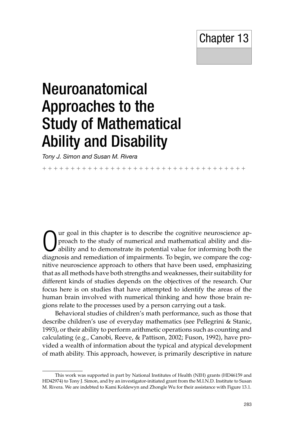# Chapter 13

# Neuroanatomical Approaches to the Study of Mathematical Ability and Disability

*Tony J. Simon and Susan M. Rivera*

+ + + + + + + + + + + + + + + + + + + + + + + + + + + + + + + + + + + +

**O**ur goal in this chapter is to describe the cognitive neuroscience approach to the study of numerical and mathematical ability and disability and to demonstrate its potential value for informing both the diagnosis and re ur goal in this chapter is to describe the cognitive neuroscience approach to the study of numerical and mathematical ability and disability and to demonstrate its potential value for informing both the nitive neuroscience approach to others that have been used, emphasizing that as all methods have both strengths and weaknesses, their suitability for different kinds of studies depends on the objectives of the research. Our focus here is on studies that have attempted to identify the areas of the human brain involved with numerical thinking and how those brain regions relate to the processes used by a person carrying out a task.

Behavioral studies of children's math performance, such as those that describe children's use of everyday mathematics (see Pellegrini & Stanic, 1993), or their ability to perform arithmetic operations such as counting and calculating (e.g., Canobi, Reeve, & Pattison, 2002; Fuson, 1992), have provided a wealth of information about the typical and atypical development of math ability. This approach, however, is primarily descriptive in nature

This work was supported in part by National Institutes of Health (NIH) grants (HD46159 and HD42974) to Tony J. Simon, and by an investigator-initiated grant from the M.I.N.D. Institute to Susan M. Rivera. We are indebted to Kami Koldewyn and Zhongle Wu for their assistance with Figure 13.1.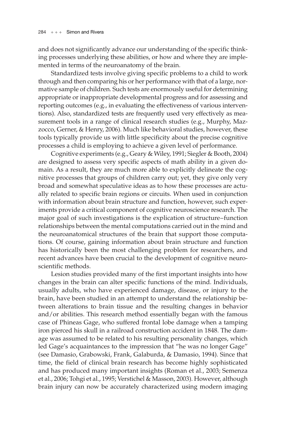and does not significantly advance our understanding of the specific thinking processes underlying these abilities, or how and where they are implemented in terms of the neuroanatomy of the brain.

Standardized tests involve giving specific problems to a child to work through and then comparing his or her performance with that of a large, normative sample of children. Such tests are enormously useful for determining appropriate or inappropriate developmental progress and for assessing and reporting outcomes (e.g., in evaluating the effectiveness of various interventions). Also, standardized tests are frequently used very effectively as measurement tools in a range of clinical research studies (e.g., Murphy, Mazzocco, Gerner, & Henry, 2006). Much like behavioral studies, however, these tools typically provide us with little specificity about the precise cognitive processes a child is employing to achieve a given level of performance.

Cognitive experiments (e.g., Geary & Wiley, 1991; Siegler & Booth, 2004) are designed to assess very specific aspects of math ability in a given domain. As a result, they are much more able to explicitly delineate the cognitive processes that groups of children carry out; yet, they give only very broad and somewhat speculative ideas as to how these processes are actually related to specific brain regions or circuits. When used in conjunction with information about brain structure and function, however, such experiments provide a critical component of cognitive neuroscience research. The major goal of such investigations is the explication of structure–function relationships between the mental computations carried out in the mind and the neuroanatomical structures of the brain that support those computations. Of course, gaining information about brain structure and function has historically been the most challenging problem for researchers, and recent advances have been crucial to the development of cognitive neuroscientific methods.

Lesion studies provided many of the first important insights into how changes in the brain can alter specific functions of the mind. Individuals, usually adults, who have experienced damage, disease, or injury to the brain, have been studied in an attempt to understand the relationship between alterations to brain tissue and the resulting changes in behavior and/or abilities. This research method essentially began with the famous case of Phineas Gage, who suffered frontal lobe damage when a tamping iron pierced his skull in a railroad construction accident in 1848. The damage was assumed to be related to his resulting personality changes, which led Gage's acquaintances to the impression that "he was no longer Gage" (see Damasio, Grabowski, Frank, Galaburda, & Damasio, 1994). Since that time, the field of clinical brain research has become highly sophisticated and has produced many important insights (Roman et al., 2003; Semenza et al., 2006; Tohgi et al., 1995; Verstichel & Masson, 2003). However, although brain injury can now be accurately characterized using modern imaging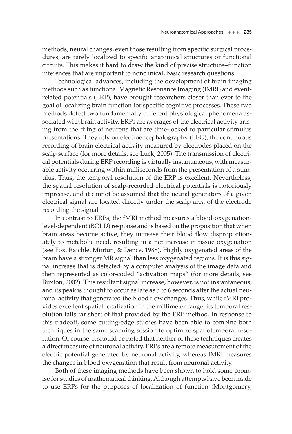methods, neural changes, even those resulting from specific surgical procedures, are rarely localized to specific anatomical structures or functional circuits. This makes it hard to draw the kind of precise structure–function inferences that are important to nonclinical, basic research questions.

Technological advances, including the development of brain imaging methods such as functional Magnetic Resonance Imaging (fMRI) and eventrelated potentials (ERP), have brought researchers closer than ever to the goal of localizing brain function for specific cognitive processes. These two methods detect two fundamentally different physiological phenomena associated with brain activity. ERPs are averages of the electrical activity arising from the firing of neurons that are time-locked to particular stimulus presentations. They rely on electroencephalography (EEG), the continuous recording of brain electrical activity measured by electrodes placed on the scalp surface (for more details, see Luck, 2005). The transmission of electrical potentials during ERP recording is virtually instantaneous, with measurable activity occurring within milliseconds from the presentation of a stimulus. Thus, the temporal resolution of the ERP is excellent. Nevertheless, the spatial resolution of scalp-recorded electrical potentials is notoriously imprecise, and it cannot be assumed that the neural generators of a given electrical signal are located directly under the scalp area of the electrode recording the signal.

In contrast to ERPs, the fMRI method measures a blood-oxygenationlevel-dependent (BOLD) response and is based on the proposition that when brain areas become active, they increase their blood flow disproportionately to metabolic need, resulting in a net increase in tissue oxygenation (see Fox, Raichle, Mintun, & Dence, 1988). Highly oxygenated areas of the brain have a stronger MR signal than less oxygenated regions. It is this signal increase that is detected by a computer analysis of the image data and then represented as color-coded "activation maps" (for more details, see Buxton, 2002). This resultant signal increase, however, is not instantaneous, and its peak is thought to occur as late as 5 to 6 seconds after the actual neuronal activity that generated the blood flow changes. Thus, while fMRI provides excellent spatial localization in the millimeter range, its temporal resolution falls far short of that provided by the ERP method. In response to this tradeoff, some cutting-edge studies have been able to combine both techniques in the same scanning session to optimize spatiotemporal resolution. Of course, it should be noted that neither of these techniques creates a direct measure of neuronal activity. ERPs are a remote measurement of the electric potential generated by neuronal activity, whereas fMRI measures the changes in blood oxygenation that result from neuronal activity.

Both of these imaging methods have been shown to hold some promise for studies of mathematical thinking. Although attempts have been made to use ERPs for the purposes of localization of function (Montgomery,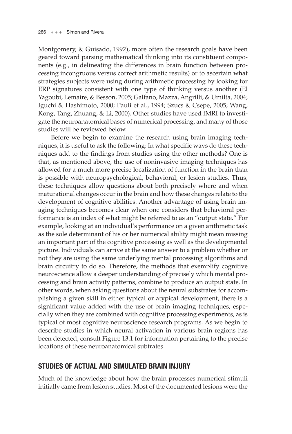Montgomery, & Guisado, 1992), more often the research goals have been geared toward parsing mathematical thinking into its constituent components (e.g., in delineating the differences in brain function between processing incongruous versus correct arithmetic results) or to ascertain what strategies subjects were using during arithmetic processing by looking for ERP signatures consistent with one type of thinking versus another (El Yagoubi, Lemaire, & Besson, 2005; Galfano, Mazza, Angrilli, & Umilta, 2004; Iguchi & Hashimoto, 2000; Pauli et al., 1994; Szucs & Csepe, 2005; Wang, Kong, Tang, Zhuang, & Li, 2000). Other studies have used fMRI to investigate the neuroanatomical bases of numerical processing, and many of those studies will be reviewed below.

Before we begin to examine the research using brain imaging techniques, it is useful to ask the following: In what specific ways do these techniques add to the findings from studies using the other methods? One is that, as mentioned above, the use of noninvasive imaging techniques has allowed for a much more precise localization of function in the brain than is possible with neuropsychological, behavioral, or lesion studies. Thus, these techniques allow questions about both precisely where and when maturational changes occur in the brain and how these changes relate to the development of cognitive abilities. Another advantage of using brain imaging techniques becomes clear when one considers that behavioral performance is an index of what might be referred to as an "output state." For example, looking at an individual's performance on a given arithmetic task as the sole determinant of his or her numerical ability might mean missing an important part of the cognitive processing as well as the developmental picture. Individuals can arrive at the same answer to a problem whether or not they are using the same underlying mental processing algorithms and brain circuitry to do so. Therefore, the methods that exemplify cognitive neuroscience allow a deeper understanding of precisely which mental processing and brain activity patterns, combine to produce an output state. In other words, when asking questions about the neural substrates for accomplishing a given skill in either typical or atypical development, there is a significant value added with the use of brain imaging techniques, especially when they are combined with cognitive processing experiments, as is typical of most cognitive neuroscience research programs. As we begin to describe studies in which neural activation in various brain regions has been detected, consult Figure 13.1 for information pertaining to the precise locations of these neuroanatomical subtrates.

### **STUDIES OF ACTUAL AND SIMULATED BRAIN INJURY**

Much of the knowledge about how the brain processes numerical stimuli initially came from lesion studies. Most of the documented lesions were the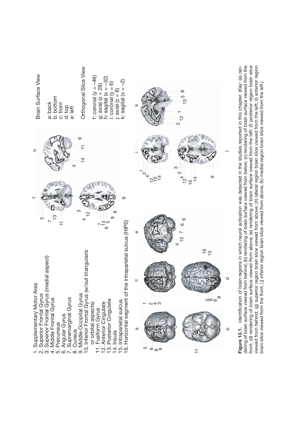

viewed from behind; (g) superior region brain slice viewed from above; (h) lateral region brain slice viewed from the left; (i) anterior region<br>brain slice viewed from the front; (j) inferior region brain slice viewed from Figure 13.1. Identification of brain regions in which neural activation was detected in the studies reported in this chapter. (Key: (a) rendering of brain surface viewed from behind; (b) rendering of brain surface viewed from below; (c) rendering of brain surface viewed from the front; (d) rendering of brain surface viewed from above; (e) rendering of brain surface viewed from the left; (f) posterior region brain slice **Figure 13.1.** Identification of brain regions in which neural activation was detected in the studies reported in this chapter. (*Key:* (a) rendering of brain surface viewed from behind; (b) rendering of brain surface viewed from below; (c) rendering of brain surface viewed from the front; (d) rendering of brain surface viewed from above; (e) rendering of brain surface viewed from the left; (f) posterior region brain slice viewed from behind; (g) superior region brain slice viewed from above; (h) lateral region brain slice viewed from the left; (i) anterior region brain slice viewed from the front; ( j) inferior region brain slice viewed from above; (k) medial region brain slice viewed from the left.)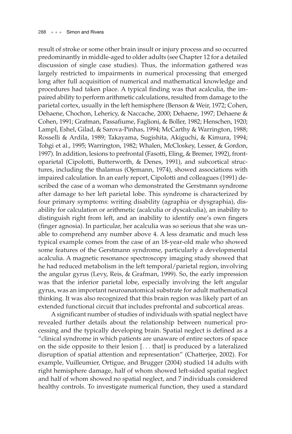result of stroke or some other brain insult or injury process and so occurred predominantly in middle-aged to older adults (see Chapter 12 for a detailed discussion of single case studies). Thus, the information gathered was largely restricted to impairments in numerical processing that emerged long after full acquisition of numerical and mathematical knowledge and procedures had taken place. A typical finding was that acalculia, the impaired ability to perform arithmetic calculations, resulted from damage to the parietal cortex, usually in the left hemisphere (Benson & Weir, 1972; Cohen, Dehaene, Chochon, Lehericy, & Naccache, 2000; Dehaene, 1997; Dehaene & Cohen, 1991; Grafman, Passafiume, Faglioni, & Boller, 1982; Henschen, 1920; Lampl, Eshel, Gilad, & Sarova-Pinhas, 1994; McCarthy & Warrington, 1988; Rosselli & Ardila, 1989; Takayama, Sugishita, Akiguchi, & Kimura, 1994; Tohgi et al., 1995; Warrington, 1982; Whalen, McCloskey, Lesser, & Gordon, 1997). In addition, lesions to prefrontal (Fasotti, Eling, & Bremer, 1992), frontoparietal (Cipolotti, Butterworth, & Denes, 1991), and subcortical structures, including the thalamus (Ojemann, 1974), showed associations with impaired calculation. In an early report, Cipolotti and colleagues (1991) described the case of a woman who demonstrated the Gerstmann syndrome after damage to her left parietal lobe. This syndrome is characterized by four primary symptoms: writing disability (agraphia or dysgraphia), disability for calculation or arithmetic (acalculia or dyscalculia), an inability to distinguish right from left, and an inability to identify one's own fingers (finger agnosia). In particular, her acalculia was so serious that she was unable to comprehend any number above 4. A less dramatic and much less typical example comes from the case of an 18-year-old male who showed some features of the Gerstmann syndrome, particularly a developmental acalculia. A magnetic resonance spectroscopy imaging study showed that he had reduced metabolism in the left temporal/parietal region, involving the angular gyrus (Levy, Reis, & Grafman, 1999). So, the early impression was that the inferior parietal lobe, especially involving the left angular gyrus, was an important neuroanatomical substrate for adult mathematical thinking. It was also recognized that this brain region was likely part of an extended functional circuit that includes prefrontal and subcortical areas.

A significant number of studies of individuals with spatial neglect have revealed further details about the relationship between numerical processing and the typically developing brain. Spatial neglect is defined as a "clinical syndrome in which patients are unaware of entire sectors of space on the side opposite to their lesion [. . . that] is produced by a lateralized disruption of spatial attention and representation" (Chatterjee, 2002). For example, Vuilleumier, Ortigue, and Brugger (2004) studied 14 adults with right hemisphere damage, half of whom showed left-sided spatial neglect and half of whom showed no spatial neglect, and 7 individuals considered healthy controls. To investigate numerical function, they used a standard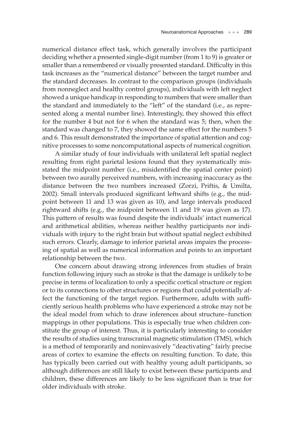numerical distance effect task, which generally involves the participant deciding whether a presented single-digit number (from 1 to 9) is greater or smaller than a remembered or visually presented standard. Difficulty in this task increases as the "numerical distance" between the target number and the standard decreases. In contrast to the comparison groups (individuals from nonneglect and healthy control groups), individuals with left neglect showed a unique handicap in responding to numbers that were smaller than the standard and immediately to the "left" of the standard (i.e., as represented along a mental number line). Interestingly, they showed this effect for the number 4 but not for 6 when the standard was 5; then, when the standard was changed to 7, they showed the same effect for the numbers 5 and 6. This result demonstrated the importance of spatial attention and cognitive processes to some noncomputational aspects of numerical cognition.

A similar study of four individuals with unilateral left spatial neglect resulting from right parietal lesions found that they systematically misstated the midpoint number (i.e., misidentified the spatial center point) between two aurally perceived numbers, with increasing inaccuracy as the distance between the two numbers increased (Zorzi, Priftis, & Umilta, 2002). Small intervals produced significant leftward shifts (e.g., the midpoint between 11 and 13 was given as 10), and large intervals produced rightward shifts (e.g., the midpoint between 11 and 19 was given as 17). This pattern of results was found despite the individuals' intact numerical and arithmetical abilities, whereas neither healthy participants nor individuals with injury to the right brain but without spatial neglect exhibited such errors. Clearly, damage to inferior parietal areas impairs the processing of spatial as well as numerical information and points to an important relationship between the two.

One concern about drawing strong inferences from studies of brain function following injury such as stroke is that the damage is unlikely to be precise in terms of localization to only a specific cortical structure or region or to its connections to other structures or regions that could potentially affect the functioning of the target region. Furthermore, adults with sufficiently serious health problems who have experienced a stroke may not be the ideal model from which to draw inferences about structure–function mappings in other populations. This is especially true when children constitute the group of interest. Thus, it is particularly interesting to consider the results of studies using transcranial magnetic stimulation (TMS), which is a method of temporarily and noninvasively "deactivating" fairly precise areas of cortex to examine the effects on resulting function. To date, this has typically been carried out with healthy young adult participants, so although differences are still likely to exist between these participants and children, these differences are likely to be less significant than is true for older individuals with stroke.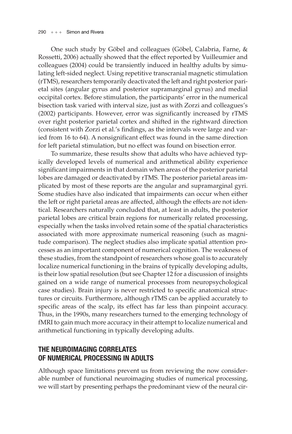One such study by Göbel and colleagues (Göbel, Calabria, Farne, & Rossetti, 2006) actually showed that the effect reported by Vuilleumier and colleagues (2004) could be transiently induced in healthy adults by simulating left-sided neglect. Using repetitive transcranial magnetic stimulation (rTMS), researchers temporarily deactivated the left and right posterior parietal sites (angular gyrus and posterior supramarginal gyrus) and medial occipital cortex. Before stimulation, the participants' error in the numerical bisection task varied with interval size, just as with Zorzi and colleagues's (2002) participants. However, error was significantly increased by rTMS over right posterior parietal cortex and shifted in the rightward direction (consistent with Zorzi et al.'s findings, as the intervals were large and varied from 16 to 64). A nonsignificant effect was found in the same direction for left parietal stimulation, but no effect was found on bisection error.

To summarize, these results show that adults who have achieved typically developed levels of numerical and arithmetical ability experience significant impairments in that domain when areas of the posterior parietal lobes are damaged or deactivated by rTMS. The posterior parietal areas implicated by most of these reports are the angular and supramarginal gyri. Some studies have also indicated that impairments can occur when either the left or right parietal areas are affected, although the effects are not identical. Researchers naturally concluded that, at least in adults, the posterior parietal lobes are critical brain regions for numerically related processing, especially when the tasks involved retain some of the spatial characteristics associated with more approximate numerical reasoning (such as magnitude comparison). The neglect studies also implicate spatial attention processes as an important component of numerical cognition. The weakness of these studies, from the standpoint of researchers whose goal is to accurately localize numerical functioning in the brains of typically developing adults, is their low spatial resolution (but see Chapter 12 for a discussion of insights gained on a wide range of numerical processes from neuropsychological case studies). Brain injury is never restricted to specific anatomical structures or circuits. Furthermore, although rTMS can be applied accurately to specific areas of the scalp, its effect has far less than pinpoint accuracy. Thus, in the 1990s, many researchers turned to the emerging technology of fMRI to gain much more accuracy in their attempt to localize numerical and arithmetical functioning in typically developing adults.

# **THE NEUROIMAGING CORRELATES OF NUMERICAL PROCESSING IN ADULTS**

Although space limitations prevent us from reviewing the now considerable number of functional neuroimaging studies of numerical processing, we will start by presenting perhaps the predominant view of the neural cir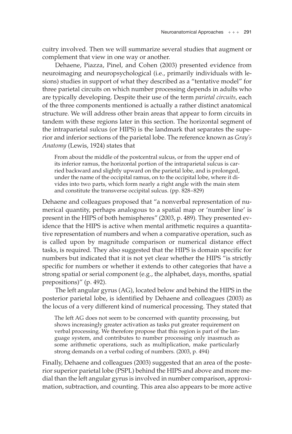cuitry involved. Then we will summarize several studies that augment or complement that view in one way or another.

Dehaene, Piazza, Pinel, and Cohen (2003) presented evidence from neuroimaging and neuropsychological (i.e., primarily individuals with lesions) studies in support of what they described as a "tentative model" for three parietal circuits on which number processing depends in adults who are typically developing. Despite their use of the term *parietal circuits,* each of the three components mentioned is actually a rather distinct anatomical structure. We will address other brain areas that appear to form circuits in tandem with these regions later in this section. The horizontal segment of the intraparietal sulcus (or HIPS) is the landmark that separates the superior and inferior sections of the parietal lobe. The reference known as *Gray's Anatomy* (Lewis, 1924) states that

From about the middle of the postcentral sulcus, or from the upper end of its inferior ramus, the horizontal portion of the intraparietal sulcus is carried backward and slightly upward on the parietal lobe, and is prolonged, under the name of the occipital ramus, on to the occipital lobe, where it divides into two parts, which form nearly a right angle with the main stem and constitute the transverse occipital sulcus. (pp. 828–829)

Dehaene and colleagues proposed that "a nonverbal representation of numerical quantity, perhaps analogous to a spatial map or 'number line' is present in the HIPS of both hemispheres" (2003, p. 489). They presented evidence that the HIPS is active when mental arithmetic requires a quantitative representation of numbers and when a comparative operation, such as is called upon by magnitude comparison or numerical distance effect tasks, is required. They also suggested that the HIPS is domain specific for numbers but indicated that it is not yet clear whether the HIPS "is strictly specific for numbers or whether it extends to other categories that have a strong spatial or serial component (e.g., the alphabet, days, months, spatial prepositions)" (p. 492).

The left angular gyrus (AG), located below and behind the HIPS in the posterior parietal lobe, is identified by Dehaene and colleagues (2003) as the locus of a very different kind of numerical processing. They stated that

The left AG does not seem to be concerned with quantity processing, but shows increasingly greater activation as tasks put greater requirement on verbal processing. We therefore propose that this region is part of the language system, and contributes to number processing only inasmuch as some arithmetic operations, such as multiplication, make particularly strong demands on a verbal coding of numbers. (2003, p. 494)

Finally, Dehaene and colleagues (2003) suggested that an area of the posterior superior parietal lobe (PSPL) behind the HIPS and above and more medial than the left angular gyrus is involved in number comparison, approximation, subtraction, and counting. This area also appears to be more active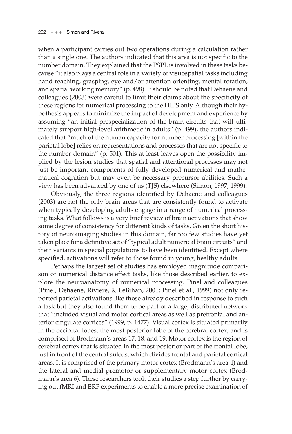when a participant carries out two operations during a calculation rather than a single one. The authors indicated that this area is not specific to the number domain. They explained that the PSPL is involved in these tasks because "it also plays a central role in a variety of visuospatial tasks including hand reaching, grasping, eye and/or attention orienting, mental rotation, and spatial working memory" (p. 498). It should be noted that Dehaene and colleagues (2003) were careful to limit their claims about the specificity of these regions for numerical processing to the HIPS only. Although their hypothesis appears to minimize the impact of development and experience by assuming "an initial prespecialization of the brain circuits that will ultimately support high-level arithmetic in adults" (p. 499), the authors indicated that "much of the human capacity for number processing [within the parietal lobe] relies on representations and processes that are not specific to the number domain" (p. 501). This at least leaves open the possibility implied by the lesion studies that spatial and attentional processes may not just be important components of fully developed numerical and mathematical cognition but may even be necessary precursor abilities. Such a view has been advanced by one of us (TJS) elsewhere (Simon, 1997, 1999).

Obviously, the three regions identified by Dehaene and colleagues (2003) are not the only brain areas that are consistently found to activate when typically developing adults engage in a range of numerical processing tasks. What follows is a very brief review of brain activations that show some degree of consistency for different kinds of tasks. Given the short history of neuroimaging studies in this domain, far too few studies have yet taken place for a definitive set of "typical adult numerical brain circuits" and their variants in special populations to have been identified. Except where specified, activations will refer to those found in young, healthy adults.

Perhaps the largest set of studies has employed magnitude comparison or numerical distance effect tasks, like those described earlier, to explore the neuroanatomy of numerical processing. Pinel and colleagues (Pinel, Dehaene, Riviere, & LeBihan, 2001; Pinel et al., 1999) not only reported parietal activations like those already described in response to such a task but they also found them to be part of a large, distributed network that "included visual and motor cortical areas as well as prefrontal and anterior cingulate cortices" (1999, p. 1477). Visual cortex is situated primarily in the occipital lobes, the most posterior lobe of the cerebral cortex, and is comprised of Brodmann's areas 17, 18, and 19. Motor cortex is the region of cerebral cortex that is situated in the most posterior part of the frontal lobe, just in front of the central sulcus, which divides frontal and parietal cortical areas. It is comprised of the primary motor cortex (Brodmann's area 4) and the lateral and medial premotor or supplementary motor cortex (Brodmann's area 6). These researchers took their studies a step further by carrying out fMRI and ERP experiments to enable a more precise examination of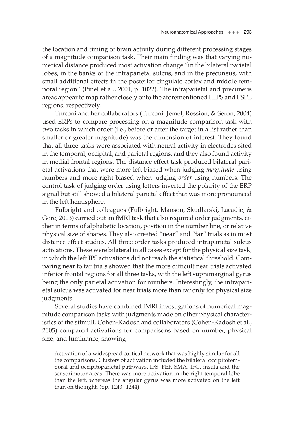the location and timing of brain activity during different processing stages of a magnitude comparison task. Their main finding was that varying numerical distance produced most activation change "in the bilateral parietal lobes, in the banks of the intraparietal sulcus, and in the precuneus, with small additional effects in the posterior cingulate cortex and middle temporal region" (Pinel et al., 2001, p. 1022). The intraparietal and precuneus areas appear to map rather closely onto the aforementioned HIPS and PSPL regions, respectively.

Turconi and her collaborators (Turconi, Jemel, Rossion, & Seron, 2004) used ERPs to compare processing on a magnitude comparison task with two tasks in which order (i.e., before or after the target in a list rather than smaller or greater magnitude) was the dimension of interest. They found that all three tasks were associated with neural activity in electrodes sited in the temporal, occipital, and parietal regions, and they also found activity in medial frontal regions. The distance effect task produced bilateral parietal activations that were more left biased when judging *magnitude* using numbers and more right biased when judging *order* using numbers. The control task of judging order using letters inverted the polarity of the ERP signal but still showed a bilateral parietal effect that was more pronounced in the left hemisphere.

Fulbright and colleagues (Fulbright, Manson, Skudlarski, Lacadie, & Gore, 2003) carried out an fMRI task that also required order judgments, either in terms of alphabetic location, position in the number line, or relative physical size of shapes. They also created "near" and "far" trials as in most distance effect studies. All three order tasks produced intraparietal sulcus activations. These were bilateral in all cases except for the physical size task, in which the left IPS activations did not reach the statistical threshold. Comparing near to far trials showed that the more difficult near trials activated inferior frontal regions for all three tasks, with the left supramarginal gyrus being the only parietal activation for numbers. Interestingly, the intraparietal sulcus was activated for near trials more than far only for physical size judgments.

Several studies have combined fMRI investigations of numerical magnitude comparison tasks with judgments made on other physical characteristics of the stimuli. Cohen-Kadosh and collaborators (Cohen-Kadosh et al., 2005) compared activations for comparisons based on number, physical size, and luminance, showing

Activation of a widespread cortical network that was highly similar for all the comparisons. Clusters of activation included the bilateral occipitotemporal and occipitoparietal pathways, IPS, FEF, SMA, IFG, insula and the sensorimotor areas. There was more activation in the right temporal lobe than the left, whereas the angular gyrus was more activated on the left than on the right. (pp. 1243–1244)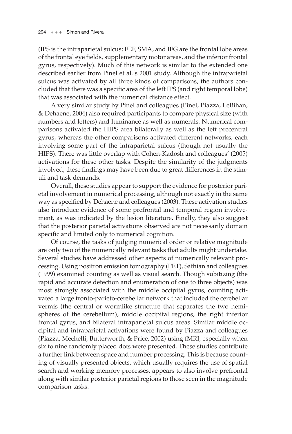(IPS is the intraparietal sulcus; FEF, SMA, and IFG are the frontal lobe areas of the frontal eye fields, supplementary motor areas, and the inferior frontal gyrus, respectively). Much of this network is similar to the extended one described earlier from Pinel et al.'s 2001 study. Although the intraparietal sulcus was activated by all three kinds of comparisons, the authors concluded that there was a specific area of the left IPS (and right temporal lobe) that was associated with the numerical distance effect.

A very similar study by Pinel and colleagues (Pinel, Piazza, LeBihan, & Dehaene, 2004) also required participants to compare physical size (with numbers and letters) and luminance as well as numerals. Numerical comparisons activated the HIPS area bilaterally as well as the left precentral gyrus, whereas the other comparisons activated different networks, each involving some part of the intraparietal sulcus (though not usually the HIPS). There was little overlap with Cohen-Kadosh and colleagues' (2005) activations for these other tasks. Despite the similarity of the judgments involved, these findings may have been due to great differences in the stimuli and task demands.

Overall, these studies appear to support the evidence for posterior parietal involvement in numerical processing, although not exactly in the same way as specified by Dehaene and colleagues (2003). These activation studies also introduce evidence of some prefrontal and temporal region involvement, as was indicated by the lesion literature. Finally, they also suggest that the posterior parietal activations observed are not necessarily domain specific and limited only to numerical cognition.

Of course, the tasks of judging numerical order or relative magnitude are only two of the numerically relevant tasks that adults might undertake. Several studies have addressed other aspects of numerically relevant processing. Using positron emission tomography (PET), Sathian and colleagues (1999) examined counting as well as visual search. Though subitizing (the rapid and accurate detection and enumeration of one to three objects) was most strongly associated with the middle occipital gyrus, counting activated a large fronto-parieto-cerebellar network that included the cerebellar vermis (the central or wormlike structure that separates the two hemispheres of the cerebellum), middle occipital regions, the right inferior frontal gyrus, and bilateral intraparietal sulcus areas. Similar middle occipital and intraparietal activations were found by Piazza and colleagues (Piazza, Mechelli, Butterworth, & Price, 2002) using fMRI, especially when six to nine randomly placed dots were presented. These studies contribute a further link between space and number processing. This is because counting of visually presented objects, which usually requires the use of spatial search and working memory processes, appears to also involve prefrontal along with similar posterior parietal regions to those seen in the magnitude comparison tasks.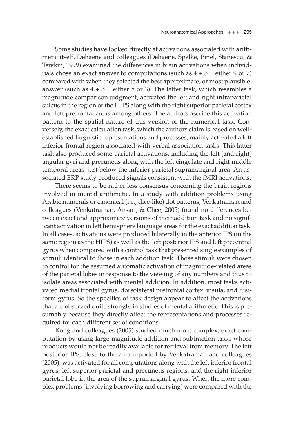Some studies have looked directly at activations associated with arithmetic itself. Dehaene and colleagues (Dehaene, Spelke, Pinel, Stanescu, & Tsivkin, 1999) examined the differences in brain activations when individuals chose an exact answer to computations (such as  $4 + 5 =$  either 9 or 7) compared with when they selected the best approximate, or most plausible, answer (such as  $4 + 5 =$  either 8 or 3). The latter task, which resembles a magnitude comparison judgment, activated the left and right intraparietal sulcus in the region of the HIPS along with the right superior parietal cortex and left prefrontal areas among others. The authors ascribe this activation pattern to the spatial nature of this version of the numerical task. Conversely, the exact calculation task, which the authors claim is based on wellestablished linguistic representations and processes, mainly activated a left inferior frontal region associated with verbal association tasks. This latter task also produced some parietal activations, including the left (and right) angular gyri and precuneus along with the left cingulate and right middle temporal areas, just below the inferior parietal supramarginal area. An associated ERP study produced signals consistent with the fMRI activations.

There seems to be rather less consensus concerning the brain regions involved in mental arithmetic. In a study with addition problems using Arabic numerals or canonical (i.e., dice-like) dot patterns, Venkatraman and colleagues (Venkatraman, Ansari, & Chee, 2005) found no differences between exact and approximate versions of their addition task and no significant activation in left hemisphere language areas for the exact addition task. In all cases, activations were produced bilaterally in the anterior IPS (in the same region as the HIPS) as well as the left posterior IPS and left precentral gyrus when compared with a control task that presented single examples of stimuli identical to those in each addition task. Those stimuli were chosen to control for the assumed automatic activation of magnitude-related areas of the parietal lobes in response to the viewing of any numbers and thus to isolate areas associated with mental addition. In addition, most tasks activated medial frontal gyrus, dorsolateral prefrontal cortex, insula, and fusiform gyrus. So the specifics of task design appear to affect the activations that are observed quite strongly in studies of mental arithmetic. This is presumably because they directly affect the representations and processes required for each different set of conditions.

Kong and colleagues (2005) studied much more complex, exact computation by using large magnitude addition and subtraction tasks whose products would not be readily available for retrieval from memory. The left posterior IPS, close to the area reported by Venkatraman and colleagues (2005), was activated for all computations along with the left inferior frontal gyrus, left superior parietal and precuneus regions, and the right inferior parietal lobe in the area of the supramarginal gyrus. When the more complex problems (involving borrowing and carrying) were compared with the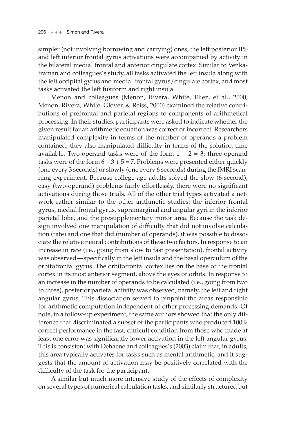simpler (not involving borrowing and carrying) ones, the left posterior IPS and left inferior frontal gyrus activations were accompanied by activity in the bilateral medial frontal and anterior cingulate cortex. Similar to Venkatraman and colleagues's study, all tasks activated the left insula along with the left occipital gyrus and medial frontal gyrus/cingulate cortex, and most tasks activated the left fusiform and right insula.

Menon and colleagues (Menon, Rivera, White, Eliez, et al., 2000; Menon, Rivera, White, Glover, & Reiss, 2000) examined the relative contributions of prefrontal and parietal regions to components of arithmetical processing. In their studies, participants were asked to indicate whether the given result for an arithmetic equation was correct or incorrect. Researchers manipulated complexity in terms of the number of operands a problem contained; they also manipulated difficulty in terms of the solution time available. Two-operand tasks were of the form  $1 + 2 = 3$ ; three-operand tasks were of the form  $6 - 3 + 5 = 7$ . Problems were presented either quickly (one every 3 seconds) or slowly (one every 6 seconds) during the fMRI scanning experiment. Because college-age adults solved the slow (6-second), easy (two-operand) problems fairly effortlessly, there were no significant activations during those trials. All of the other trial types activated a network rather similar to the other arithmetic studies: the inferior frontal gyrus, medial frontal gyrus, supramarginal and angular gyri in the inferior parietal lobe, and the presupplementary motor area. Because the task design involved one manipulation of difficulty that did not involve calculation (rate) and one that did (number of operands), it was possible to dissociate the relative neural contributions of these two factors. In response to an increase in rate (i.e., going from slow to fast presentation), frontal activity was observed—specifically in the left insula and the basal operculum of the orbitofrontal gyrus. The orbitofrontal cortex lies on the base of the frontal cortex in its most anterior segment, above the eyes or orbits. In response to an increase in the number of operands to be calculated (i.e., going from two to three), posterior parietal activity was observed, namely, the left and right angular gyrus. This dissociation served to pinpoint the areas responsible for arithmetic computation independent of other processing demands. Of note, in a follow-up experiment, the same authors showed that the only difference that discriminated a subset of the participants who produced 100% correct performance in the fast, difficult condition from those who made at least one error was significantly lower activation in the left angular gyrus. This is consistent with Dehaene and colleagues's (2003) claim that, in adults, this area typically activates for tasks such as mental arithmetic, and it suggests that the amount of activation may be positively correlated with the difficulty of the task for the participant.

A similar but much more intensive study of the effects of complexity on several types of numerical calculation tasks, and similarly structured but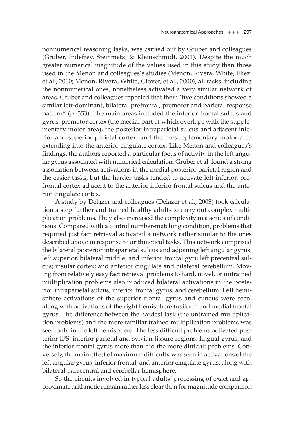nonnumerical reasoning tasks, was carried out by Gruber and colleagues (Gruber, Indefrey, Steinmetz, & Kleinschmidt, 2001). Despite the much greater numerical magnitude of the values used in this study than those used in the Menon and colleagues's studies (Menon, Rivera, White, Eliez, et al., 2000; Menon, Rivera, White, Glover, et al., 2000), all tasks, including the nonnumerical ones, nonetheless activated a very similar network of areas. Gruber and colleagues reported that their "five conditions showed a similar left-dominant, bilateral prefrontal, premotor and parietal response pattern" (p. 353). The main areas included the inferior frontal sulcus and gyrus, premotor cortex (the medial part of which overlaps with the supplementary motor area), the posterior intraparietal sulcus and adjacent inferior and superior parietal cortex, and the presupplementary motor area extending into the anterior cingulate cortex. Like Menon and colleagues's findings, the authors reported a particular focus of activity in the left angular gyrus associated with numerical calculation. Gruber et al. found a strong association between activations in the medial posterior parietal region and the easier tasks, but the harder tasks tended to activate left inferior, prefrontal cortex adjacent to the anterior inferior frontal sulcus and the anterior cingulate cortex.

A study by Delazer and colleagues (Delazer et al., 2003) took calculation a step further and trained healthy adults to carry out complex multiplication problems. They also increased the complexity in a series of conditions. Compared with a control number-matching condition, problems that required just fact retrieval activated a network rather similar to the ones described above in response to arithmetical tasks. This network comprised the bilateral posterior intraparietal sulcus and adjoining left angular gyrus; left superior, bilateral middle, and inferior frontal gyri; left precentral sulcus; insular cortex; and anterior cingulate and bilateral cerebellum. Moving from relatively easy fact retrieval problems to hard, novel, or untrained multiplication problems also produced bilateral activations in the posterior intraparietal sulcus, inferior frontal gyrus, and cerebellum. Left hemisphere activations of the superior frontal gyrus and cuneus were seen, along with activations of the right hemisphere fusiform and medial frontal gyrus. The difference between the hardest task (the untrained multiplication problems) and the more familiar trained multiplication problems was seen only in the left hemisphere. The less difficult problems activated posterior IPS, inferior parietal and sylvian fissure regions, lingual gyrus, and the inferior frontal gyrus more than did the more difficult problems. Conversely, the main effect of maximum difficulty was seen in activations of the left angular gyrus, inferior frontal, and anterior cingulate gyrus, along with bilateral paracentral and cerebellar hemisphere.

So the circuits involved in typical adults' processing of exact and approximate arithmetic remain rather less clear than for magnitude comparison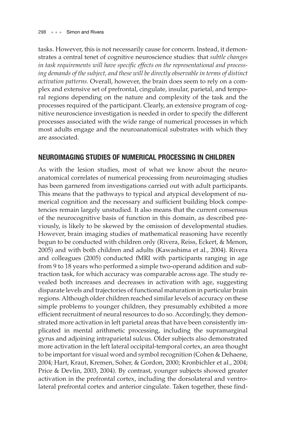tasks. However, this is not necessarily cause for concern. Instead, it demonstrates a central tenet of cognitive neuroscience studies: that *subtle changes in task requirements will have specific effects on the representational and processing demands of the subject, and these will be directly observable in terms of distinct activation patterns.* Overall, however, the brain does seem to rely on a complex and extensive set of prefrontal, cingulate, insular, parietal, and temporal regions depending on the nature and complexity of the task and the processes required of the participant. Clearly, an extensive program of cognitive neuroscience investigation is needed in order to specify the different processes associated with the wide range of numerical processes in which most adults engage and the neuroanatomical substrates with which they are associated.

## **NEUROIMAGING STUDIES OF NUMERICAL PROCESSING IN CHILDREN**

As with the lesion studies, most of what we know about the neuroanatomical correlates of numerical processing from neuroimaging studies has been garnered from investigations carried out with adult participants. This means that the pathways to typical and atypical development of numerical cognition and the necessary and sufficient building block competencies remain largely unstudied. It also means that the current consensus of the neurocognitive basis of function in this domain, as described previously, is likely to be skewed by the omission of developmental studies. However, brain imaging studies of mathematical reasoning have recently begun to be conducted with children only (Rivera, Reiss, Eckert, & Menon, 2005) and with both children and adults (Kawashima et al., 2004). Rivera and colleagues (2005) conducted fMRI with participants ranging in age from 9 to 18 years who performed a simple two-operand addition and subtraction task, for which accuracy was comparable across age. The study revealed both increases and decreases in activation with age, suggesting disparate levels and trajectories of functional maturation in particular brain regions. Although older children reached similar levels of accuracy on these simple problems to younger children, they presumably exhibited a more efficient recruitment of neural resources to do so. Accordingly, they demonstrated more activation in left parietal areas that have been consistently implicated in mental arithmetic processing, including the supramarginal gyrus and adjoining intraparietal sulcus. Older subjects also demonstrated more activation in the left lateral occipital-temporal cortex, an area thought to be important for visual word and symbol recognition (Cohen & Dehaene, 2004; Hart, Kraut, Kremen, Soher, & Gordon, 2000; Kronbichler et al., 2004; Price & Devlin, 2003, 2004). By contrast, younger subjects showed greater activation in the prefrontal cortex, including the dorsolateral and ventrolateral prefrontal cortex and anterior cingulate. Taken together, these find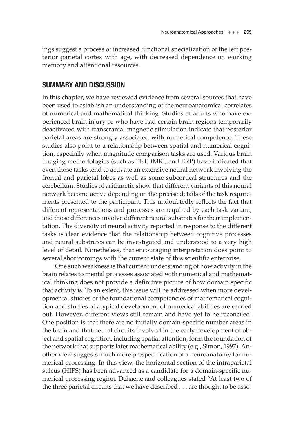ings suggest a process of increased functional specialization of the left posterior parietal cortex with age, with decreased dependence on working memory and attentional resources.

#### **SUMMARY AND DISCUSSION**

In this chapter, we have reviewed evidence from several sources that have been used to establish an understanding of the neuroanatomical correlates of numerical and mathematical thinking. Studies of adults who have experienced brain injury or who have had certain brain regions temporarily deactivated with transcranial magnetic stimulation indicate that posterior parietal areas are strongly associated with numerical competence. These studies also point to a relationship between spatial and numerical cognition, especially when magnitude comparison tasks are used. Various brain imaging methodologies (such as PET, fMRI, and ERP) have indicated that even those tasks tend to activate an extensive neural network involving the frontal and parietal lobes as well as some subcortical structures and the cerebellum. Studies of arithmetic show that different variants of this neural network become active depending on the precise details of the task requirements presented to the participant. This undoubtedly reflects the fact that different representations and processes are required by each task variant, and those differences involve different neural substrates for their implementation. The diversity of neural activity reported in response to the different tasks is clear evidence that the relationship between cognitive processes and neural substrates can be investigated and understood to a very high level of detail. Nonetheless, that encouraging interpretation does point to several shortcomings with the current state of this scientific enterprise.

One such weakness is that current understanding of how activity in the brain relates to mental processes associated with numerical and mathematical thinking does not provide a definitive picture of how domain specific that activity is. To an extent, this issue will be addressed when more developmental studies of the foundational competencies of mathematical cognition and studies of atypical development of numerical abilities are carried out. However, different views still remain and have yet to be reconciled. One position is that there are no initially domain-specific number areas in the brain and that neural circuits involved in the early development of object and spatial cognition, including spatial attention, form the foundation of the network that supports later mathematical ability (e.g., Simon, 1997). Another view suggests much more prespecification of a neuroanatomy for numerical processing. In this view, the horizontal section of the intraparietal sulcus (HIPS) has been advanced as a candidate for a domain-specific numerical processing region. Dehaene and colleagues stated "At least two of the three parietal circuits that we have described . . . are thought to be asso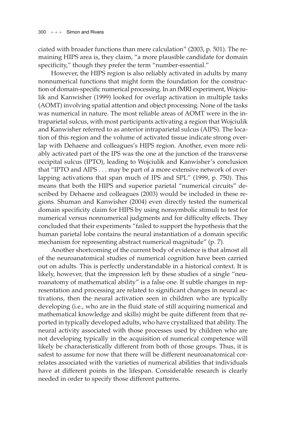ciated with broader functions than mere calculation" (2003, p. 501). The remaining HIPS area is, they claim, "a more plausible candidate for domain specificity," though they prefer the term "number-essential."

However, the HIPS region is also reliably activated in adults by many nonnumerical functions that might form the foundation for the construction of domain-specific numerical processing. In an fMRI experiment, Wojciulik and Kanwisher (1999) looked for overlap activation in multiple tasks (AOMT) involving spatial attention and object processing. None of the tasks was numerical in nature. The most reliable areas of AOMT were in the intraparietal sulcus, with most participants activating a region that Wojciulik and Kanwisher referred to as anterior intraparietal sulcus (AIPS). The location of this region and the volume of activated tissue indicate strong overlap with Dehaene and colleagues's HIPS region. Another, even more reliably activated part of the IPS was the one at the junction of the transverse occipital sulcus (IPTO), leading to Wojciulik and Kanwisher's conclusion that "IPTO and AIPS . . . may be part of a more extensive network of overlapping activations that span much of IPS and SPL" (1999, p. 750). This means that both the HIPS and superior parietal "numerical circuits" described by Dehaene and colleagues (2003) would be included in these regions. Shuman and Kanwisher (2004) even directly tested the numerical domain specificity claim for HIPS by using nonsymbolic stimuli to test for numerical versus nonnumerical judgments and for difficulty effects. They concluded that their experiments "failed to support the hypothesis that the human parietal lobe contains the neural instantiation of a domain specific mechanism for representing abstract numerical magnitude" (p. 7).

Another shortcoming of the current body of evidence is that almost all of the neuroanatomical studies of numerical cognition have been carried out on adults. This is perfectly understandable in a historical context. It is likely, however, that the impression left by these studies of a single "neuroanatomy of mathematical ability" is a false one. If subtle changes in representation and processing are related to significant changes in neural activations, then the neural activation seen in children who are typically developing (i.e., who are in the fluid state of still acquiring numerical and mathematical knowledge and skills) might be quite different from that reported in typically developed adults, who have crystallized that ability. The neural activity associated with those processes used by children who are not developing typically in the acquisition of numerical competence will likely be characteristically different from both of those groups. Thus, it is safest to assume for now that there will be different neuroanatomical correlates associated with the varieties of numerical abilities that individuals have at different points in the lifespan. Considerable research is clearly needed in order to specify those different patterns.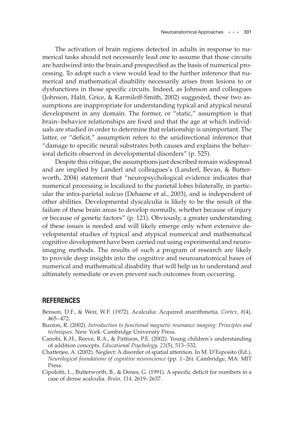The activation of brain regions detected in adults in response to numerical tasks should not necessarily lead one to assume that those circuits are hardwired into the brain and prespecified as the basis of numerical processing. To adopt such a view would lead to the further inference that numerical and mathematical disability necessarily arises from lesions to or dysfunctions in those specific circuits. Indeed, as Johnson and colleagues (Johnson, Halit, Grice, & Karmiloff-Smith, 2002) suggested, those two assumptions are inappropriate for understanding typical and atypical neural development in any domain. The former, or "static," assumption is that brain–behavior relationships are fixed and that the age at which individuals are studied in order to determine that relationship is unimportant. The latter, or "deficit," assumption refers to the unidirectional inference that "damage to specific neural substrates both causes and explains the behavioral deficits observed in developmental disorders" (p. 525).

Despite this critique, the assumptions just described remain widespread and are implied by Landerl and colleagues's (Landerl, Bevan, & Butterworth, 2004) statement that "neuropsychological evidence indicates that numerical processing is localized to the parietal lobes bilaterally, in particular the intra-parietal sulcus (Dehaene et al., 2003), and is independent of other abilities. Developmental dyscalculia is likely to be the result of the failure of these brain areas to develop normally, whether because of injury or because of genetic factors" (p. 121). Obviously, a greater understanding of these issues is needed and will likely emerge only when extensive developmental studies of typical and atypical numerical and mathematical cognitive development have been carried out using experimental and neuroimaging methods. The results of such a program of research are likely to provide deep insights into the cognitive and neuroanatomical bases of numerical and mathematical disability that will help us to understand and ultimately remediate or even prevent such outcomes from occurring.

#### **REFERENCES**

- Benson, D.F., & Weir, W.F. (1972). Acalculia: Acquired anarithmetia. *Cortex, 8*(4), 465–472.
- Buxton, R. (2002). *Introduction to functional magnetic resonance imaging: Principles and techniques.* New York: Cambridge University Press.
- Canobi, K.H., Reeve, R.A., & Pattison, P.E. (2002). Young children's understanding of addition concepts. *Educational Psychology, 22*(5), 513–532.
- Chatterjee, A. (2002). Neglect: A disorder of spatial attention. In M. D'Esposito (Ed.), *Neurological foundations of cognitive neuroscience* (pp. 1–26). Cambridge, MA: MIT Press.
- Cipolotti, L., Butterworth, B., & Denes, G. (1991). A specific deficit for numbers in a case of dense acalculia. *Brain, 114,* 2619–2637.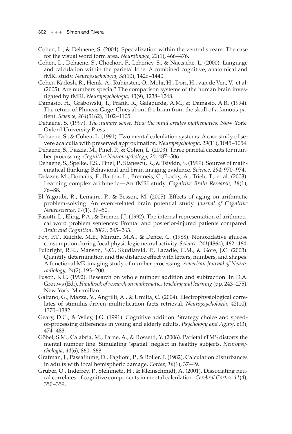- Cohen, L., & Dehaene, S. (2004). Specialization within the ventral stream: The case for the visual word form area. *NeuroImage, 22*(1), 466–476.
- Cohen, L., Dehaene, S., Chochon, F., Lehericy, S., & Naccache, L. (2000). Language and calculation within the parietal lobe: A combined cognitive, anatomical and fMRI study. *Neuropsychologia, 38*(10), 1426–1440.
- Cohen-Kadosh, R., Henik, A., Rubinsten, O., Mohr, H., Dori, H., van de Ven, V., et al. (2005). Are numbers special? The comparison systems of the human brain investigated by fMRI. *Neuropsychologia, 43*(9), 1238–1248.
- Damasio, H., Grabowski, T., Frank, R., Galaburda, A.M., & Damasio, A.R. (1994). The return of Phineas Gage: Clues about the brain from the skull of a famous patient. *Science, 264*(5162), 1102–1105.
- Dehaene, S. (1997). *The number sense: How the mind creates mathematics.* New York: Oxford University Press.
- Dehaene, S., & Cohen, L. (1991). Two mental calculation systems: A case study of severe acalculia with preserved approximation. *Neuropsychologia, 29*(11), 1045–1054.
- Dehaene, S., Piazza, M., Pinel, P., & Cohen, L. (2003). Three parietal circuits for number processing. *Cognitive Neuropsychology, 20,* 487–506.
- Dehaene, S., Spelke, E.S., Pinel, P., Stanescu, R., & Tsivkin, S. (1999). Sources of mathematical thinking: Behavioral and brain imaging evidence. *Science, 284,* 970–974.
- Delazer, M., Domahs, F., Bartha, L., Brenneis, C., Lochy, A., Trieb, T., et al. (2003). Learning complex arithmetic—An fMRI study. *Cognitive Brain Research, 18*(1), 76–88.
- El Yagoubi, R., Lemaire, P., & Besson, M. (2005). Effects of aging on arithmetic problem-solving: An event-related brain potential study. *Journal of Cognitive Neuroscience, 17*(1), 37–50.
- Fasotti, L., Eling, P.A., & Bremer, J.J. (1992). The internal representation of arithmetical word problem sentences: Frontal and posterior-injured patients compared. *Brain and Cognition, 20(2),* 245–263.
- Fox, P.T., Raichle, M.E., Mintun, M.A., & Dence, C. (1988). Nonoxidative glucose consumption during focal physiologic neural activity. *Science, 241*(4864), 462–464.
- Fulbright, R.K., Manson, S.C., Skudlarski, P., Lacadie, C.M., & Gore, J.C. (2003). Quantity determination and the distance effect with letters, numbers, and shapes: A functional MR imaging study of number processing. *American Journal of Neuroradiology, 24*(2), 193–200.
- Fuson, K.C. (1992). Research on whole number addition and subtraction. In D.A. Grouws (Ed.), *Handbook of research on mathematics teaching and learning* (pp. 243–275). New York: Macmillan.
- Galfano, G., Mazza, V., Angrilli, A., & Umilta, C. (2004). Electrophysiological correlates of stimulus-driven multiplication facts retrieval. *Neuropsychologia, 42*(10), 1370–1382.
- Geary, D.C., & Wiley, J.G. (1991). Cognitive addition: Strategy choice and speedof-processing differences in young and elderly adults. *Psychology and Aging, 6*(3), 474–483.
- Göbel, S.M., Calabria, M., Farne, A., & Rossetti, Y. (2006). Parietal rTMS distorts the mental number line: Simulating 'spatial' neglect in healthy subjects. *Neuropsychologia, 44*(6), 860–868.
- Grafman, J., Passafiume, D., Faglioni, P., & Boller, F. (1982). Calculation disturbances in adults with focal hemispheric damage. *Cortex, 18*(1), 37–49.
- Gruber, O., Indefrey, P., Steinmetz, H., & Kleinschmidt, A. (2001). Dissociating neural correlates of cognitive components in mental calculation. *Cerebral Cortex, 11*(4), 350–359.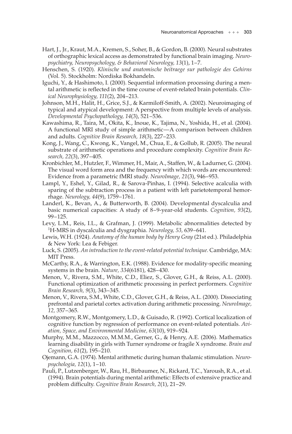- Hart, J., Jr., Kraut, M.A., Kremen, S., Soher, B., & Gordon, B. (2000). Neural substrates of orthographic lexical access as demonstrated by functional brain imaging. *Neuropsychiatry, Neuropsychology, & Behavioral Neurology, 13*(1), 1–7.
- Henschen, S. (1920). *Klinische und anatomische beitraege sur pathologie des Gehirns* (Vol. 5). Stockholm: Nordiska Bokhandeln.
- Iguchi, Y., & Hashimoto, I. (2000). Sequential information processing during a mental arithmetic is reflected in the time course of event-related brain potentials. *Clinical Neurophysiology, 111*(2), 204–213.
- Johnson, M.H., Halit, H., Grice, S.J., & Karmiloff-Smith, A. (2002). Neuroimaging of typical and atypical development: A perspective from multiple levels of analysis. *Developmental Psychopathology, 14*(3), 521–536.
- Kawashima, R., Taira, M., Okita, K., Inoue, K., Tajima, N., Yoshida, H., et al. (2004). A functional MRI study of simple arithmetic—A comparison between children and adults. *Cognitive Brain Research, 18*(3), 227–233.
- Kong, J., Wang, C., Kwong, K., Vangel, M., Chua, E., & Gollub, R. (2005). The neural substrate of arithmetic operations and procedure complexity. *Cognitive Brain Research, 22*(3), 397–405.
- Kronbichler, M., Hutzler, F., Wimmer, H., Mair, A., Staffen, W., & Ladurner, G. (2004). The visual word form area and the frequency with which words are encountered: Evidence from a parametric fMRI study. *NeuroImage, 21*(3), 946–953.
- Lampl, Y., Eshel, Y., Gilad, R., & Sarova-Pinhas, I. (1994). Selective acalculia with sparing of the subtraction process in a patient with left parietotemporal hemorrhage. *Neurology, 44*(9), 1759–1761.
- Landerl, K., Bevan, A., & Butterworth, B. (2004). Developmental dyscalculia and basic numerical capacities: A study of 8–9-year-old students. *Cognition, 93*(2), 99–125.
- Levy, L.M., Reis, I.L., & Grafman, J. (1999). Metabolic abnormalities detected by 1H-MRS in dyscalculia and dysgraphia. *Neurology, 53,* 639–641.
- Lewis, W.H. (1924). *Anatomy of the human body by Henry Gray* (21st ed.). Philadelphia & New York: Lea & Febiger.
- Luck, S. (2005). *An introduction to the event-related potential technique.* Cambridge, MA: MIT Press.
- McCarthy, R.A., & Warrington, E.K. (1988). Evidence for modality-specific meaning systems in the brain. *Nature, 334*(6181), 428–430.
- Menon, V., Rivera, S.M., White, C.D., Eliez, S., Glover, G.H., & Reiss, A.L. (2000). Functional optimization of arithmetic processing in perfect performers. *Cognitive Brain Research, 9*(3), 343–345.
- Menon, V., Rivera, S.M., White, C.D., Glover, G.H., & Reiss, A.L. (2000). Dissociating prefrontal and parietal cortex activation during arithmetic processing. *NeuroImage, 12,* 357–365.
- Montgomery, R.W., Montgomery, L.D., & Guisado, R. (1992). Cortical localization of cognitive function by regression of performance on event-related potentials. *Aviation, Space, and Environmental Medicine, 63*(10), 919–924.
- Murphy, M.M., Mazzocco, M.M.M., Gerner, G., & Henry, A.E. (2006). Mathematics learning disability in girls with Turner syndrome or fragile X syndrome. *Brain and Cognition, 61*(2), 195–210.
- Ojemann, G.A. (1974). Mental arithmetic during human thalamic stimulation. *Neuropsychologia, 12*(1), 1–10.
- Pauli, P., Lutzenberger, W., Rau, H., Birbaumer, N., Rickard, T.C., Yaroush, R.A., et al. (1994). Brain potentials during mental arithmetic: Effects of extensive practice and problem difficulty. *Cognitive Brain Research, 2*(1), 21–29.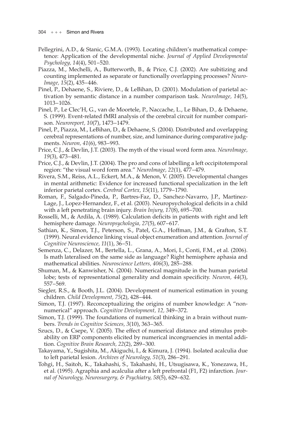- Pellegrini, A.D., & Stanic, G.M.A. (1993). Locating children's mathematical competence: Application of the developmental niche. *Journal of Applied Developmental Psychology, 14*(4), 501–520.
- Piazza, M., Mechelli, A., Butterworth, B., & Price, C.J. (2002). Are subitizing and counting implemented as separate or functionally overlapping processes? *Neuro-Image, 15*(2), 435–446.
- Pinel, P., Dehaene, S., Riviere, D., & LeBihan, D. (2001). Modulation of parietal activation by semantic distance in a number comparison task. *NeuroImage, 14*(5), 1013–1026.
- Pinel, P., Le Clec'H, G., van de Moortele, P., Naccache, L., Le Bihan, D., & Dehaene, S. (1999). Event-related fMRI analysis of the cerebral circuit for number comparison. *Neuroreport, 10*(7), 1473–1479.
- Pinel, P., Piazza, M., LeBihan, D., & Dehaene, S. (2004). Distributed and overlapping cerebral representations of number, size, and luminance during comparative judgments. *Neuron, 41*(6), 983–993.
- Price, C.J., & Devlin, J.T. (2003). The myth of the visual word form area. *NeuroImage, 19*(3), 473–481.
- Price, C.J., & Devlin, J.T. (2004). The pro and cons of labelling a left occipitotemporal region: "the visual word form area." *NeuroImage, 22*(1), 477–479.
- Rivera, S.M., Reiss, A.L., Eckert, M.A., & Menon, V. (2005). Developmental changes in mental arithmetic: Evidence for increased functional specialization in the left inferior parietal cortex. *Cerebral Cortex, 15*(11), 1779–1790.
- Roman, F., Salgado-Pineda, P., Bartres-Faz, D., Sanchez-Navarro, J.P., Martinez-Lage, J., Lopez-Hernandez, F., et al. (2003). Neuropsychological deficits in a child with a left penetrating brain injury. *Brain Injury, 17*(8), 695–700.
- Rosselli, M., & Ardila, A. (1989). Calculation deficits in patients with right and left hemisphere damage. *Neuropsychologia, 27*(5), 607–617.
- Sathian, K., Simon, T.J., Peterson, S., Patel, G.A., Hoffman, J.M., & Grafton, S.T. (1999). Neural evidence linking visual object enumeration and attention. *Journal of Cognitive Neuroscience, 11*(1), 36–51.
- Semenza, C., Delazer, M., Bertella, L., Grana, A., Mori, I., Conti, F.M., et al. (2006). Is math lateralised on the same side as language? Right hemisphere aphasia and mathematical abilities. *Neuroscience Letters, 406*(3), 285–288.
- Shuman, M., & Kanwisher, N. (2004). Numerical magnitude in the human parietal lobe; tests of representational generality and domain specificity. *Neuron, 44*(3), 557–569.
- Siegler, R.S., & Booth, J.L. (2004). Development of numerical estimation in young children. *Child Development, 75*(2), 428–444.
- Simon, T.J. (1997). Reconceptualizing the origins of number knowledge: A "nonnumerical" approach. *Cognitive Development, 12,* 349–372.
- Simon, T.J. (1999). The foundations of numerical thinking in a brain without numbers. *Trends in Cognitive Sciences, 3*(10), 363–365.
- Szucs, D., & Csepe, V. (2005). The effect of numerical distance and stimulus probability on ERP components elicited by numerical incongruencies in mental addition. *Cognitive Brain Research, 22*(2), 289–300.
- Takayama, Y., Sugishita, M., Akiguchi, I., & Kimura, J. (1994). Isolated acalculia due to left parietal lesion. *Archives of Neurology, 51*(3), 286–291.
- Tohgi, H., Saitoh, K., Takahashi, S., Takahashi, H., Utsugisawa, K., Yonezawa, H., et al. (1995). Agraphia and acalculia after a left prefrontal (F1, F2) infarction. *Journal of Neurology, Neurosurgery, & Psychiatry, 58*(5), 629–632.